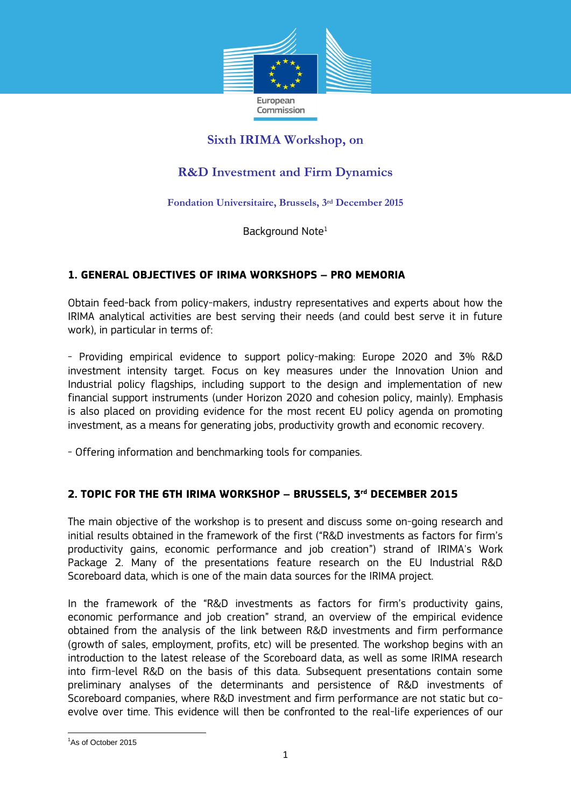

## **Sixth IRIMA Workshop, on**

# **R&D Investment and Firm Dynamics**

**Fondation Universitaire, Brussels, 3rd December 2015**

Background Note<sup>1</sup>

## **1. GENERAL OBJECTIVES OF IRIMA WORKSHOPS – PRO MEMORIA**

Obtain feed-back from policy-makers, industry representatives and experts about how the IRIMA analytical activities are best serving their needs (and could best serve it in future work), in particular in terms of:

- Providing empirical evidence to support policy-making: Europe 2020 and 3% R&D investment intensity target. Focus on key measures under the Innovation Union and Industrial policy flagships, including support to the design and implementation of new financial support instruments (under Horizon 2020 and cohesion policy, mainly). Emphasis is also placed on providing evidence for the most recent EU policy agenda on promoting investment, as a means for generating jobs, productivity growth and economic recovery.

- Offering information and benchmarking tools for companies.

## **2. TOPIC FOR THE 6TH IRIMA WORKSHOP – BRUSSELS, 3 rd DECEMBER 2015**

The main objective of the workshop is to present and discuss some on-going research and initial results obtained in the framework of the first ("R&D investments as factors for firm's productivity gains, economic performance and job creation") strand of IRIMA's Work Package 2. Many of the presentations feature research on the EU Industrial R&D Scoreboard data, which is one of the main data sources for the IRIMA project.

In the framework of the "R&D investments as factors for firm's productivity gains, economic performance and job creation" strand, an overview of the empirical evidence obtained from the analysis of the link between R&D investments and firm performance (growth of sales, employment, profits, etc) will be presented. The workshop begins with an introduction to the latest release of the Scoreboard data, as well as some IRIMA research into firm-level R&D on the basis of this data. Subsequent presentations contain some preliminary analyses of the determinants and persistence of R&D investments of Scoreboard companies, where R&D investment and firm performance are not static but coevolve over time. This evidence will then be confronted to the real-life experiences of our

**.** 

<sup>&</sup>lt;sup>1</sup>As of October 2015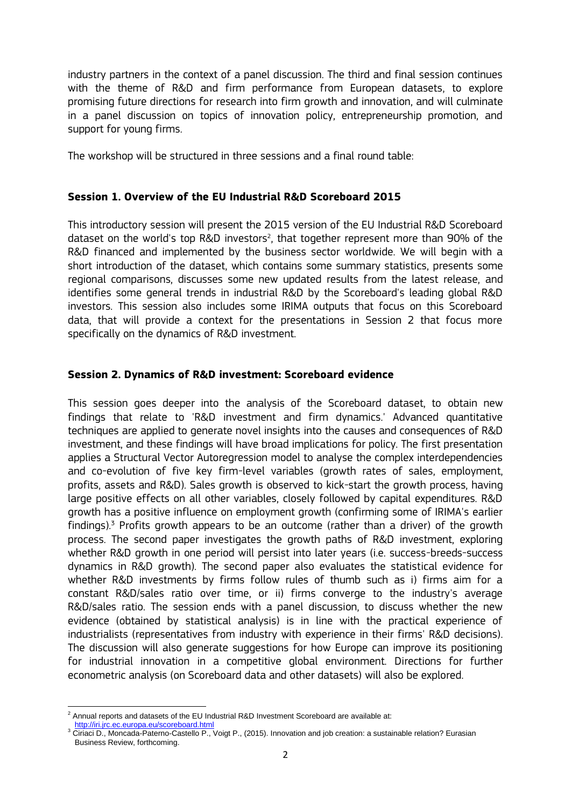industry partners in the context of a panel discussion. The third and final session continues with the theme of R&D and firm performance from European datasets, to explore promising future directions for research into firm growth and innovation, and will culminate in a panel discussion on topics of innovation policy, entrepreneurship promotion, and support for young firms.

The workshop will be structured in three sessions and a final round table:

#### **Session 1. Overview of the EU Industrial R&D Scoreboard 2015**

This introductory session will present the 2015 version of the EU Industrial R&D Scoreboard dataset on the world's top R&D investors<sup>2</sup>, that together represent more than 90% of the R&D financed and implemented by the business sector worldwide. We will begin with a short introduction of the dataset, which contains some summary statistics, presents some regional comparisons, discusses some new updated results from the latest release, and identifies some general trends in industrial R&D by the Scoreboard's leading global R&D investors. This session also includes some IRIMA outputs that focus on this Scoreboard data, that will provide a context for the presentations in Session 2 that focus more specifically on the dynamics of R&D investment.

#### **Session 2. Dynamics of R&D investment: Scoreboard evidence**

This session goes deeper into the analysis of the Scoreboard dataset, to obtain new findings that relate to 'R&D investment and firm dynamics.' Advanced quantitative techniques are applied to generate novel insights into the causes and consequences of R&D investment, and these findings will have broad implications for policy. The first presentation applies a Structural Vector Autoregression model to analyse the complex interdependencies and co-evolution of five key firm-level variables (growth rates of sales, employment, profits, assets and R&D). Sales growth is observed to kick-start the growth process, having large positive effects on all other variables, closely followed by capital expenditures. R&D growth has a positive influence on employment growth (confirming some of IRIMA's earlier findings).<sup>3</sup> Profits growth appears to be an outcome (rather than a driver) of the growth process. The second paper investigates the growth paths of R&D investment, exploring whether R&D growth in one period will persist into later years (i.e. success-breeds-success dynamics in R&D growth). The second paper also evaluates the statistical evidence for whether R&D investments by firms follow rules of thumb such as i) firms aim for a constant R&D/sales ratio over time, or ii) firms converge to the industry's average R&D/sales ratio. The session ends with a panel discussion, to discuss whether the new evidence (obtained by statistical analysis) is in line with the practical experience of industrialists (representatives from industry with experience in their firms' R&D decisions). The discussion will also generate suggestions for how Europe can improve its positioning for industrial innovation in a competitive global environment. Directions for further econometric analysis (on Scoreboard data and other datasets) will also be explored.

<sup>1</sup>  $^2$  Annual reports and datasets of the EU Industrial R&D Investment Scoreboard are available at: <http://iri.jrc.ec.europa.eu/scoreboard.html>

<sup>&</sup>lt;sup>3</sup> Ciriaci D., Moncada-Paterno-Castello P., Voigt P., (2015). Innovation and job creation: a sustainable relation? Eurasian Business Review, forthcoming.